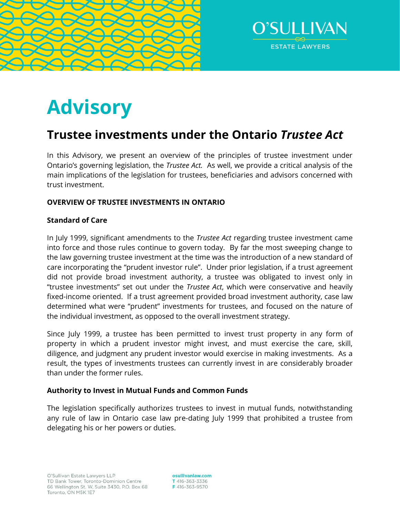



# **Advisory**

# **Trustee investments under the Ontario** *Trustee Act*

In this Advisory, we present an overview of the principles of trustee investment under Ontario's governing legislation, the *Trustee Act.* As well, we provide a critical analysis of the main implications of the legislation for trustees, beneficiaries and advisors concerned with trust investment.

# **OVERVIEW OF TRUSTEE INVESTMENTS IN ONTARIO**

# **Standard of Care**

In July 1999, significant amendments to the *Trustee Act* regarding trustee investment came into force and those rules continue to govern today. By far the most sweeping change to the law governing trustee investment at the time was the introduction of a new standard of care incorporating the "prudent investor rule". Under prior legislation, if a trust agreement did not provide broad investment authority, a trustee was obligated to invest only in "trustee investments" set out under the *Trustee Act*, which were conservative and heavily fixed-income oriented. If a trust agreement provided broad investment authority, case law determined what were "prudent" investments for trustees, and focused on the nature of the individual investment, as opposed to the overall investment strategy.

Since July 1999, a trustee has been permitted to invest trust property in any form of property in which a prudent investor might invest, and must exercise the care, skill, diligence, and judgment any prudent investor would exercise in making investments. As a result, the types of investments trustees can currently invest in are considerably broader than under the former rules.

# **Authority to Invest in Mutual Funds and Common Funds**

The legislation specifically authorizes trustees to invest in mutual funds, notwithstanding any rule of law in Ontario case law pre-dating July 1999 that prohibited a trustee from delegating his or her powers or duties.

osullivanlaw.com T 416-363-3336 F416-363-9570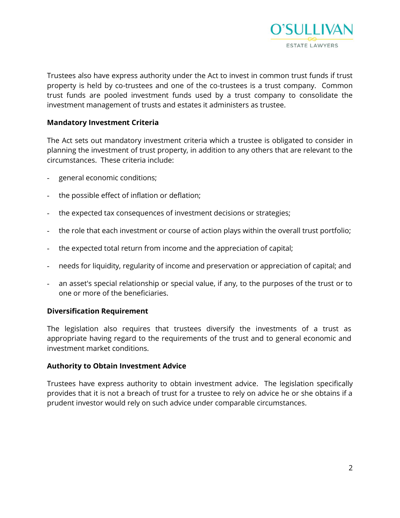

Trustees also have express authority under the Act to invest in common trust funds if trust property is held by co-trustees and one of the co-trustees is a trust company. Common trust funds are pooled investment funds used by a trust company to consolidate the investment management of trusts and estates it administers as trustee.

# **Mandatory Investment Criteria**

The Act sets out mandatory investment criteria which a trustee is obligated to consider in planning the investment of trust property, in addition to any others that are relevant to the circumstances. These criteria include:

- general economic conditions;
- the possible effect of inflation or deflation;
- the expected tax consequences of investment decisions or strategies;
- the role that each investment or course of action plays within the overall trust portfolio;
- the expected total return from income and the appreciation of capital;
- needs for liquidity, regularity of income and preservation or appreciation of capital; and
- an asset's special relationship or special value, if any, to the purposes of the trust or to one or more of the beneficiaries.

# **Diversification Requirement**

The legislation also requires that trustees diversify the investments of a trust as appropriate having regard to the requirements of the trust and to general economic and investment market conditions.

# **Authority to Obtain Investment Advice**

Trustees have express authority to obtain investment advice. The legislation specifically provides that it is not a breach of trust for a trustee to rely on advice he or she obtains if a prudent investor would rely on such advice under comparable circumstances.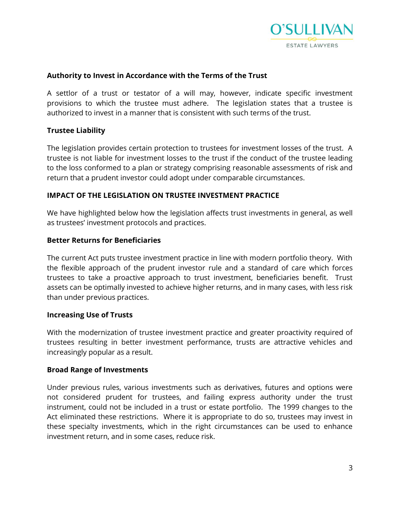

#### **Authority to Invest in Accordance with the Terms of the Trust**

A settlor of a trust or testator of a will may, however, indicate specific investment provisions to which the trustee must adhere. The legislation states that a trustee is authorized to invest in a manner that is consistent with such terms of the trust.

#### **Trustee Liability**

The legislation provides certain protection to trustees for investment losses of the trust. A trustee is not liable for investment losses to the trust if the conduct of the trustee leading to the loss conformed to a plan or strategy comprising reasonable assessments of risk and return that a prudent investor could adopt under comparable circumstances.

#### **IMPACT OF THE LEGISLATION ON TRUSTEE INVESTMENT PRACTICE**

We have highlighted below how the legislation affects trust investments in general, as well as trustees' investment protocols and practices.

#### **Better Returns for Beneficiaries**

The current Act puts trustee investment practice in line with modern portfolio theory. With the flexible approach of the prudent investor rule and a standard of care which forces trustees to take a proactive approach to trust investment, beneficiaries benefit. Trust assets can be optimally invested to achieve higher returns, and in many cases, with less risk than under previous practices.

#### **Increasing Use of Trusts**

With the modernization of trustee investment practice and greater proactivity required of trustees resulting in better investment performance, trusts are attractive vehicles and increasingly popular as a result.

#### **Broad Range of Investments**

Under previous rules, various investments such as derivatives, futures and options were not considered prudent for trustees, and failing express authority under the trust instrument, could not be included in a trust or estate portfolio. The 1999 changes to the Act eliminated these restrictions. Where it is appropriate to do so, trustees may invest in these specialty investments, which in the right circumstances can be used to enhance investment return, and in some cases, reduce risk.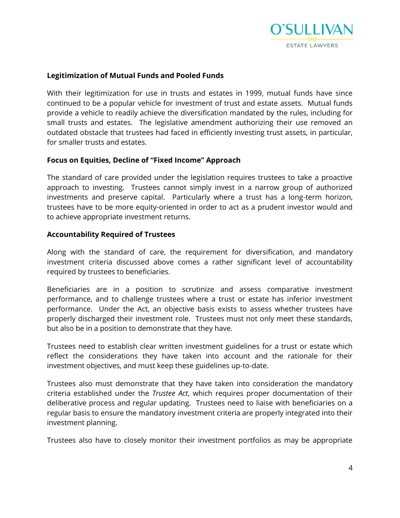

#### **Legitimization of Mutual Funds and Pooled Funds**

With their legitimization for use in trusts and estates in 1999, mutual funds have since continued to be a popular vehicle for investment of trust and estate assets. Mutual funds provide a vehicle to readily achieve the diversification mandated by the rules, including for small trusts and estates. The legislative amendment authorizing their use removed an outdated obstacle that trustees had faced in efficiently investing trust assets, in particular, for smaller trusts and estates.

#### **Focus on Equities, Decline of "Fixed Income" Approach**

The standard of care provided under the legislation requires trustees to take a proactive approach to investing. Trustees cannot simply invest in a narrow group of authorized investments and preserve capital. Particularly where a trust has a long-term horizon, trustees have to be more equity-oriented in order to act as a prudent investor would and to achieve appropriate investment returns.

#### **Accountability Required of Trustees**

Along with the standard of care, the requirement for diversification, and mandatory investment criteria discussed above comes a rather significant level of accountability required by trustees to beneficiaries.

Beneficiaries are in a position to scrutinize and assess comparative investment performance, and to challenge trustees where a trust or estate has inferior investment performance. Under the Act, an objective basis exists to assess whether trustees have properly discharged their investment role. Trustees must not only meet these standards, but also be in a position to demonstrate that they have.

Trustees need to establish clear written investment guidelines for a trust or estate which reflect the considerations they have taken into account and the rationale for their investment objectives, and must keep these guidelines up-to-date.

Trustees also must demonstrate that they have taken into consideration the mandatory criteria established under the *Trustee Act*, which requires proper documentation of their deliberative process and regular updating. Trustees need to liaise with beneficiaries on a regular basis to ensure the mandatory investment criteria are properly integrated into their investment planning.

Trustees also have to closely monitor their investment portfolios as may be appropriate